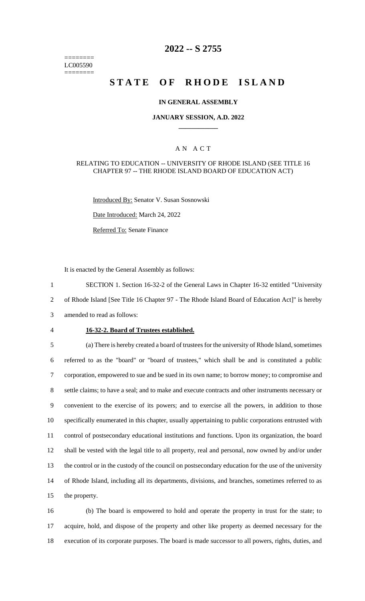======== LC005590 ========

# **2022 -- S 2755**

# **STATE OF RHODE ISLAND**

#### **IN GENERAL ASSEMBLY**

### **JANUARY SESSION, A.D. 2022 \_\_\_\_\_\_\_\_\_\_\_\_**

### A N A C T

#### RELATING TO EDUCATION -- UNIVERSITY OF RHODE ISLAND (SEE TITLE 16 CHAPTER 97 -- THE RHODE ISLAND BOARD OF EDUCATION ACT)

Introduced By: Senator V. Susan Sosnowski

Date Introduced: March 24, 2022

Referred To: Senate Finance

It is enacted by the General Assembly as follows:

1 SECTION 1. Section 16-32-2 of the General Laws in Chapter 16-32 entitled "University 2 of Rhode Island [See Title 16 Chapter 97 - The Rhode Island Board of Education Act]" is hereby 3 amended to read as follows:

#### 4 **16-32-2. Board of Trustees established.**

 (a) There is hereby created a board of trustees for the university of Rhode Island, sometimes referred to as the "board" or "board of trustees," which shall be and is constituted a public corporation, empowered to sue and be sued in its own name; to borrow money; to compromise and settle claims; to have a seal; and to make and execute contracts and other instruments necessary or convenient to the exercise of its powers; and to exercise all the powers, in addition to those specifically enumerated in this chapter, usually appertaining to public corporations entrusted with control of postsecondary educational institutions and functions. Upon its organization, the board shall be vested with the legal title to all property, real and personal, now owned by and/or under the control or in the custody of the council on postsecondary education for the use of the university of Rhode Island, including all its departments, divisions, and branches, sometimes referred to as the property.

16 (b) The board is empowered to hold and operate the property in trust for the state; to 17 acquire, hold, and dispose of the property and other like property as deemed necessary for the 18 execution of its corporate purposes. The board is made successor to all powers, rights, duties, and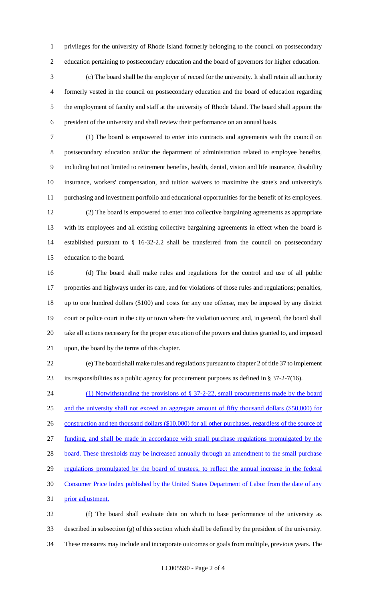privileges for the university of Rhode Island formerly belonging to the council on postsecondary education pertaining to postsecondary education and the board of governors for higher education.

 (c) The board shall be the employer of record for the university. It shall retain all authority formerly vested in the council on postsecondary education and the board of education regarding the employment of faculty and staff at the university of Rhode Island. The board shall appoint the president of the university and shall review their performance on an annual basis.

 (1) The board is empowered to enter into contracts and agreements with the council on postsecondary education and/or the department of administration related to employee benefits, including but not limited to retirement benefits, health, dental, vision and life insurance, disability insurance, workers' compensation, and tuition waivers to maximize the state's and university's purchasing and investment portfolio and educational opportunities for the benefit of its employees.

 (2) The board is empowered to enter into collective bargaining agreements as appropriate with its employees and all existing collective bargaining agreements in effect when the board is established pursuant to § 16-32-2.2 shall be transferred from the council on postsecondary education to the board.

 (d) The board shall make rules and regulations for the control and use of all public properties and highways under its care, and for violations of those rules and regulations; penalties, up to one hundred dollars (\$100) and costs for any one offense, may be imposed by any district court or police court in the city or town where the violation occurs; and, in general, the board shall take all actions necessary for the proper execution of the powers and duties granted to, and imposed upon, the board by the terms of this chapter.

 (e) The board shall make rules and regulations pursuant to chapter 2 of title 37 to implement its responsibilities as a public agency for procurement purposes as defined in § 37-2-7(16).

24 (1) Notwithstanding the provisions of § 37-2-22, small procurements made by the board and the university shall not exceed an aggregate amount of fifty thousand dollars (\$50,000) for 26 construction and ten thousand dollars (\$10,000) for all other purchases, regardless of the source of funding, and shall be made in accordance with small purchase regulations promulgated by the 28 board. These thresholds may be increased annually through an amendment to the small purchase regulations promulgated by the board of trustees, to reflect the annual increase in the federal Consumer Price Index published by the United States Department of Labor from the date of any prior adjustment. (f) The board shall evaluate data on which to base performance of the university as

 described in subsection (g) of this section which shall be defined by the president of the university. These measures may include and incorporate outcomes or goals from multiple, previous years. The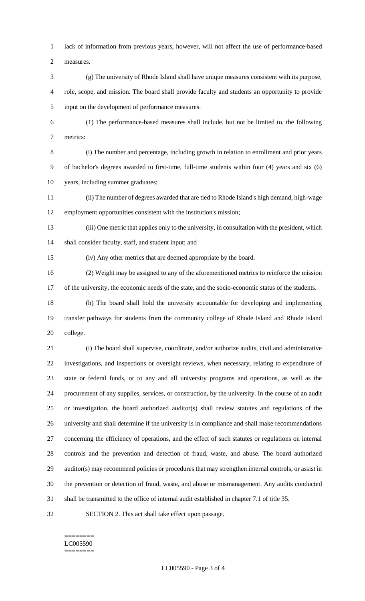lack of information from previous years, however, will not affect the use of performance-based

measures.

- (g) The university of Rhode Island shall have unique measures consistent with its purpose, role, scope, and mission. The board shall provide faculty and students an opportunity to provide input on the development of performance measures.
- (1) The performance-based measures shall include, but not be limited to, the following metrics:

 (i) The number and percentage, including growth in relation to enrollment and prior years of bachelor's degrees awarded to first-time, full-time students within four (4) years and six (6) years, including summer graduates;

- (ii) The number of degrees awarded that are tied to Rhode Island's high demand, high-wage employment opportunities consistent with the institution's mission;
- (iii) One metric that applies only to the university, in consultation with the president, which shall consider faculty, staff, and student input; and

(iv) Any other metrics that are deemed appropriate by the board.

(2) Weight may be assigned to any of the aforementioned metrics to reinforce the mission

- of the university, the economic needs of the state, and the socio-economic status of the students.
- (h) The board shall hold the university accountable for developing and implementing transfer pathways for students from the community college of Rhode Island and Rhode Island college.

 (i) The board shall supervise, coordinate, and/or authorize audits, civil and administrative investigations, and inspections or oversight reviews, when necessary, relating to expenditure of state or federal funds, or to any and all university programs and operations, as well as the procurement of any supplies, services, or construction, by the university. In the course of an audit or investigation, the board authorized auditor(s) shall review statutes and regulations of the university and shall determine if the university is in compliance and shall make recommendations concerning the efficiency of operations, and the effect of such statutes or regulations on internal controls and the prevention and detection of fraud, waste, and abuse. The board authorized auditor(s) may recommend policies or procedures that may strengthen internal controls, or assist in the prevention or detection of fraud, waste, and abuse or mismanagement. Any audits conducted shall be transmitted to the office of internal audit established in chapter 7.1 of title 35.

SECTION 2. This act shall take effect upon passage.

#### ======== LC005590 ========